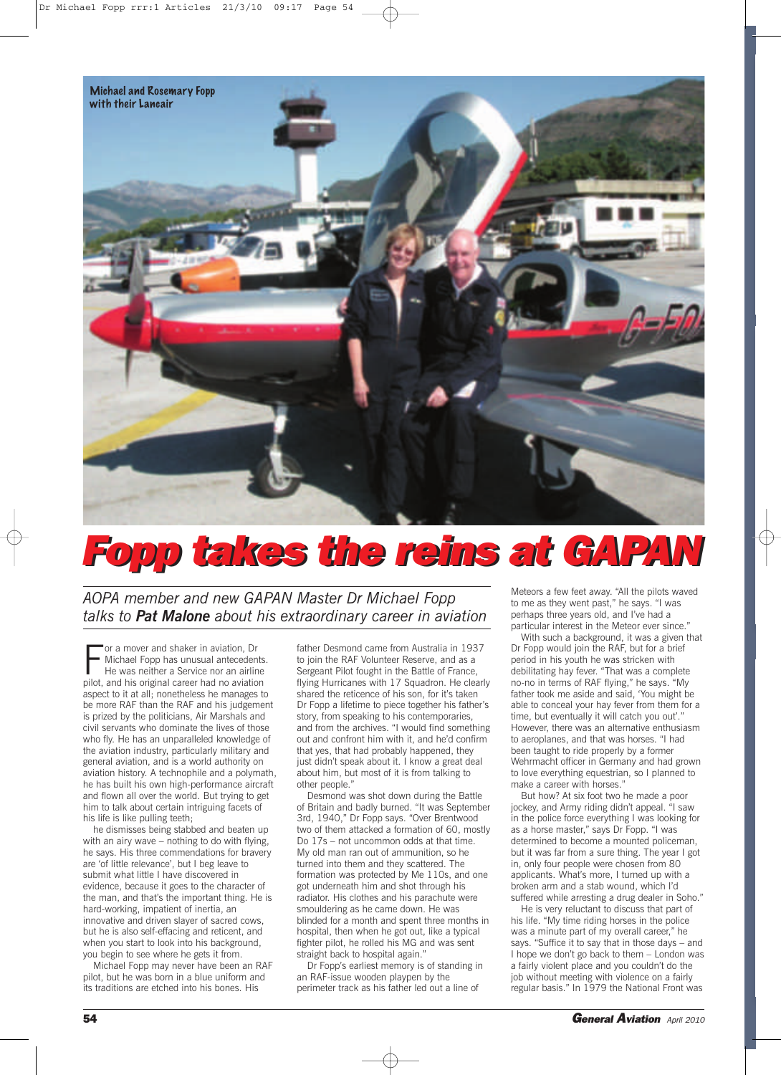

## *Fopp Fopp takes takes the the rei reinsns atat GGAPA APANN*

*AOPA member and new GAPAN Master Dr Michael Fopp talks to Pat Malone about his extraordinary career in aviation*

For a mover and shaker in aviation, Dr<br>Michael Fopp has unusual antecedents<br>He was neither a Service nor an airline<br>pilot, and his original career had no aviation or a mover and shaker in aviation, Dr Michael Fopp has unusual antecedents. He was neither a Service nor an airline aspect to it at all; nonetheless he manages to be more RAF than the RAF and his judgement is prized by the politicians, Air Marshals and civil servants who dominate the lives of those who fly. He has an unparalleled knowledge of the aviation industry, particularly military and general aviation, and is a world authority on aviation history. A technophile and a polymath, he has built his own high-performance aircraft and flown all over the world. But trying to get him to talk about certain intriguing facets of his life is like pulling teeth;

he dismisses being stabbed and beaten up with an airy wave – nothing to do with flying, he says. His three commendations for bravery are 'of little relevance', but I beg leave to submit what little I have discovered in evidence, because it goes to the character of the man, and that's the important thing. He is hard-working, impatient of inertia, an innovative and driven slayer of sacred cows, but he is also self-effacing and reticent, and when you start to look into his background, you begin to see where he gets it from.

Michael Fopp may never have been an RAF pilot, but he was born in a blue uniform and its traditions are etched into his bones. His

father Desmond came from Australia in 1937 to join the RAF Volunteer Reserve, and as a Sergeant Pilot fought in the Battle of France, flying Hurricanes with 17 Squadron. He clearly shared the reticence of his son, for it's taken Dr Fopp a lifetime to piece together his father's story, from speaking to his contemporaries, and from the archives. "I would find something out and confront him with it, and he'd confirm that yes, that had probably happened, they just didn't speak about it. I know a great deal about him, but most of it is from talking to other people."

Desmond was shot down during the Battle of Britain and badly burned. "It was September 3rd, 1940," Dr Fopp says. "Over Brentwood two of them attacked a formation of 60, mostly Do 17s – not uncommon odds at that time. My old man ran out of ammunition, so he turned into them and they scattered. The formation was protected by Me 110s, and one got underneath him and shot through his radiator. His clothes and his parachute were smouldering as he came down. He was blinded for a month and spent three months in hospital, then when he got out, like a typical fighter pilot, he rolled his MG and was sent straight back to hospital again."

Dr Fopp's earliest memory is of standing in an RAF-issue wooden playpen by the perimeter track as his father led out a line of

Meteors a few feet away. "All the pilots waved to me as they went past," he says. "I was perhaps three years old, and I've had a particular interest in the Meteor ever since.'

With such a background, it was a given that Dr Fopp would join the RAF, but for a brief period in his youth he was stricken with debilitating hay fever. "That was a complete no-no in terms of RAF flying," he says. "My father took me aside and said, 'You might be able to conceal your hay fever from them for a time, but eventually it will catch you out'." However, there was an alternative enthusiasm to aeroplanes, and that was horses. "I had been taught to ride properly by a former Wehrmacht officer in Germany and had grown to love everything equestrian, so I planned to make a career with horses."

But how? At six foot two he made a poor jockey, and Army riding didn't appeal. "I saw in the police force everything I was looking for as a horse master," says Dr Fopp. "I was determined to become a mounted policeman, but it was far from a sure thing. The year I got in, only four people were chosen from 80 applicants. What's more, I turned up with a broken arm and a stab wound, which I'd suffered while arresting a drug dealer in Soho."

He is very reluctant to discuss that part of his life. "My time riding horses in the police was a minute part of my overall career," he says. "Suffice it to say that in those days – and I hope we don't go back to them – London was a fairly violent place and you couldn't do the job without meeting with violence on a fairly regular basis." In 1979 the National Front was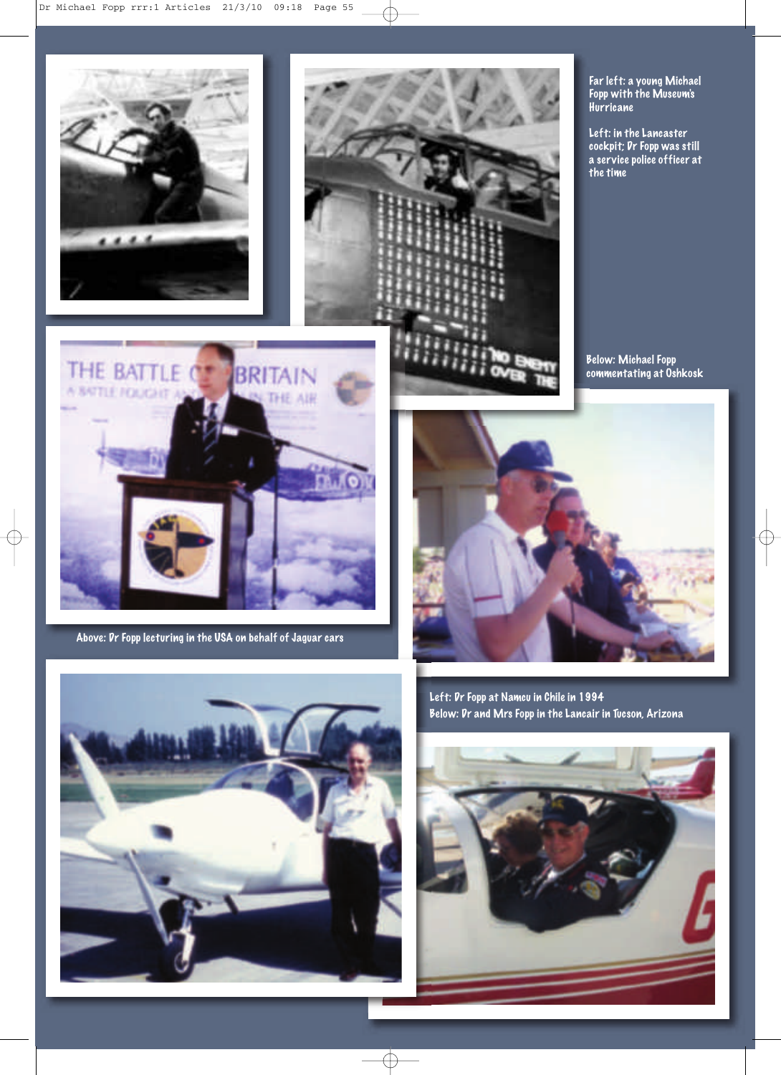



Far left: a young Michael Fopp with the Museum's Hurricane

Left: in the Lancaster cockpit; Dr Fopp was still a service police officer at the time

Below: Michael Fopp commentating at Oshkosk



Above: Dr Fopp lecturing in the USA on behalf of Jaguar cars







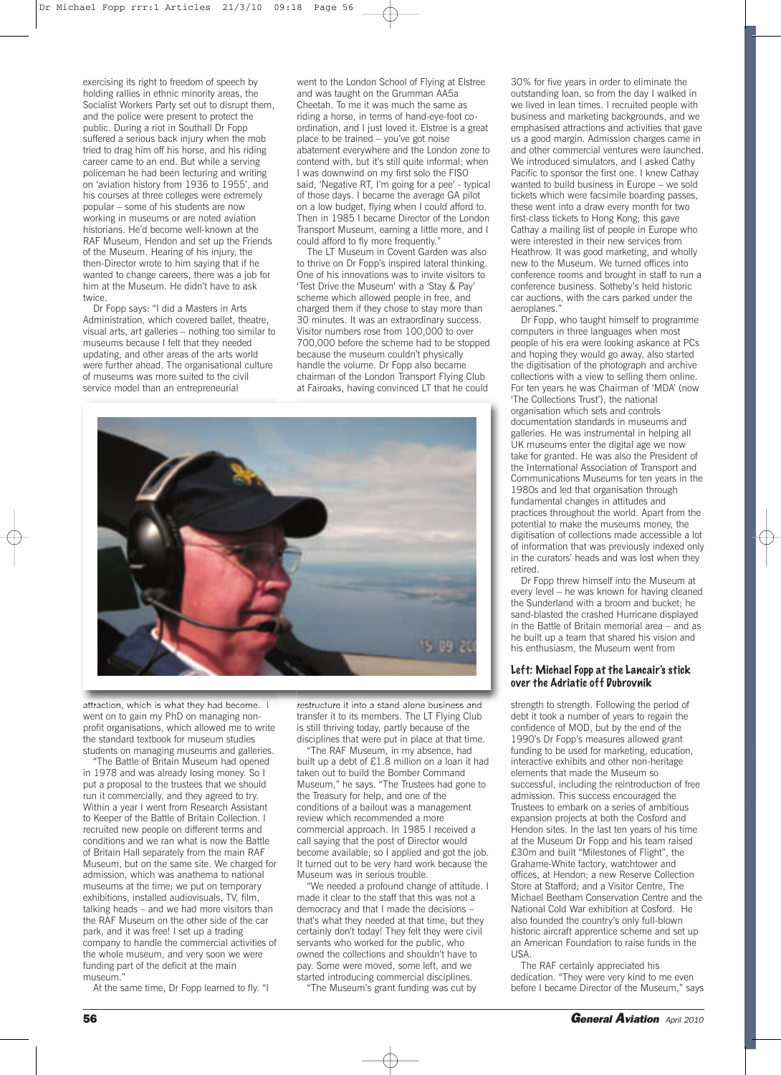exercising its right to freedom of speech by holding rallies in ethnic minority areas, the Socialist Workers Party set out to disrupt them, and the police were present to protect the public. During a riot in Southall Dr Fopp suffered a serious back injury when the mob tried to drag him off his horse, and his riding career came to an end. But while a serving policeman he had been lecturing and writing on 'aviation history from 1936 to 1955', and his courses at three colleges were extremely popular – some of his students are now working in museums or are noted aviation historians. He'd become well-known at the RAF Museum, Hendon and set up the Friends of the Museum. Hearing of his injury, the then-Director wrote to him saying that if he wanted to change careers, there was a job for him at the Museum. He didn't have to ask twice.

Dr Fopp says: "I did a Masters in Arts Administration, which covered ballet, theatre, visual arts, art galleries – nothing too similar to museums because I felt that they needed updating, and other areas of the arts world were further ahead. The organisational culture of museums was more suited to the civil service model than an entrepreneurial

went to the London School of Flying at Elstree and was taught on the Grumman AA5a Cheetah. To me it was much the same as riding a horse, in terms of hand-eye-foot coordination, and I just loved it. Elstree is a great place to be trained – you've got noise abatement everywhere and the London zone to contend with, but it's still quite informal; when I was downwind on my first solo the FISO said, 'Negative RT, I'm going for a pee' - typical of those days. I became the average GA pilot on a low budget, flying when I could afford to. Then in 1985 I became Director of the London Transport Museum, earning a little more, and I could afford to fly more frequently."

The LT Museum in Covent Garden was also to thrive on Dr Fopp's inspired lateral thinking. One of his innovations was to invite visitors to 'Test Drive the Museum' with a 'Stay & Pay' scheme which allowed people in free, and charged them if they chose to stay more than 30 minutes. It was an extraordinary success. Visitor numbers rose from 100,000 to over 700,000 before the scheme had to be stopped because the museum couldn't physically handle the volume. Dr Fopp also became chairman of the London Transport Flying Club at Fairoaks, having convinced LT that he could



attraction, which is what they had become. I went on to gain my PhD on managing nonprofit organisations, which allowed me to write the standard textbook for museum studies students on managing museums and galleries.

"The Battle of Britain Museum had opened in 1978 and was already losing money. So I put a proposal to the trustees that we should run it commercially, and they agreed to try. Within a year I went from Research Assistant to Keeper of the Battle of Britain Collection. I recruited new people on different terms and conditions and we ran what is now the Battle of Britain Hall separately from the main RAF Museum, but on the same site. We charged for admission, which was anathema to national museums at the time; we put on temporary exhibitions, installed audiovisuals, TV, film, talking heads – and we had more visitors than the RAF Museum on the other side of the car park, and it was free! I set up a trading company to handle the commercial activities of the whole museum, and very soon we were funding part of the deficit at the main museum.

At the same time, Dr Fopp learned to fly. "I

restructure it into a stand-alone business and transfer it to its members. The LT Flying Club is still thriving today, partly because of the disciplines that were put in place at that time.

"The RAF Museum, in my absence, had built up a debt of £1.8 million on a loan it had taken out to build the Bomber Command Museum," he says. "The Trustees had gone to the Treasury for help, and one of the conditions of a bailout was a management review which recommended a more commercial approach. In 1985 I received a call saying that the post of Director would become available; so I applied and got the job. It turned out to be very hard work because the Museum was in serious trouble.

"We needed a profound change of attitude. I made it clear to the staff that this was not a democracy and that I made the decisions – that's what they needed at that time, but they certainly don't today! They felt they were civil servants who worked for the public, who owned the collections and shouldn't have to pay. Some were moved, some left, and we started introducing commercial disciplines. "The Museum's grant funding was cut by

30% for five years in order to eliminate the outstanding loan, so from the day I walked in we lived in lean times. I recruited people with business and marketing backgrounds, and we emphasised attractions and activities that gave us a good margin. Admission charges came in and other commercial ventures were launched. We introduced simulators, and I asked Cathy Pacific to sponsor the first one. I knew Cathay wanted to build business in Europe – we sold tickets which were facsimile boarding passes, these went into a draw every month for two first-class tickets to Hong Kong; this gave Cathay a mailing list of people in Europe who were interested in their new services from Heathrow. It was good marketing, and wholly new to the Museum. We turned offices into conference rooms and brought in staff to run a conference business. Sotheby's held historic car auctions, with the cars parked under the aeroplanes."

Dr Fopp, who taught himself to programme computers in three languages when most people of his era were looking askance at PCs and hoping they would go away, also started the digitisation of the photograph and archive collections with a view to selling them online. For ten years he was Chairman of 'MDA' (now 'The Collections Trust'), the national organisation which sets and controls documentation standards in museums and galleries. He was instrumental in helping all UK museums enter the digital age we now take for granted. He was also the President of the International Association of Transport and Communications Museums for ten years in the 1980s and led that organisation through fundamental changes in attitudes and practices throughout the world. Apart from the potential to make the museums money, the digitisation of collections made accessible a lot of information that was previously indexed only in the curators' heads and was lost when they retired.

Dr Fopp threw himself into the Museum at every level – he was known for having cleaned the Sunderland with a broom and bucket; he sand-blasted the crashed Hurricane displayed in the Battle of Britain memorial area – and as he built up a team that shared his vision and his enthusiasm, the Museum went from

## Left: Michael Fopp at the Lancair's stick over the Adriatic off Dubrovnik

strength to strength. Following the period of debt it took a number of years to regain the confidence of MOD, but by the end of the 1990's Dr Fopp's measures allowed grant funding to be used for marketing, education, interactive exhibits and other non-heritage elements that made the Museum so successful, including the reintroduction of free admission. This success encouraged the Trustees to embark on a series of ambitious expansion projects at both the Cosford and Hendon sites. In the last ten years of his time at the Museum Dr Fopp and his team raised £30m and built "Milestones of Flight", the Grahame-White factory, watchtower and offices, at Hendon; a new Reserve Collection Store at Stafford; and a Visitor Centre, The Michael Beetham Conservation Centre and the National Cold War exhibition at Cosford. He also founded the country's only full-blown historic aircraft apprentice scheme and set up an American Foundation to raise funds in the USA.

The RAF certainly appreciated his dedication. "They were very kind to me even before I became Director of the Museum," says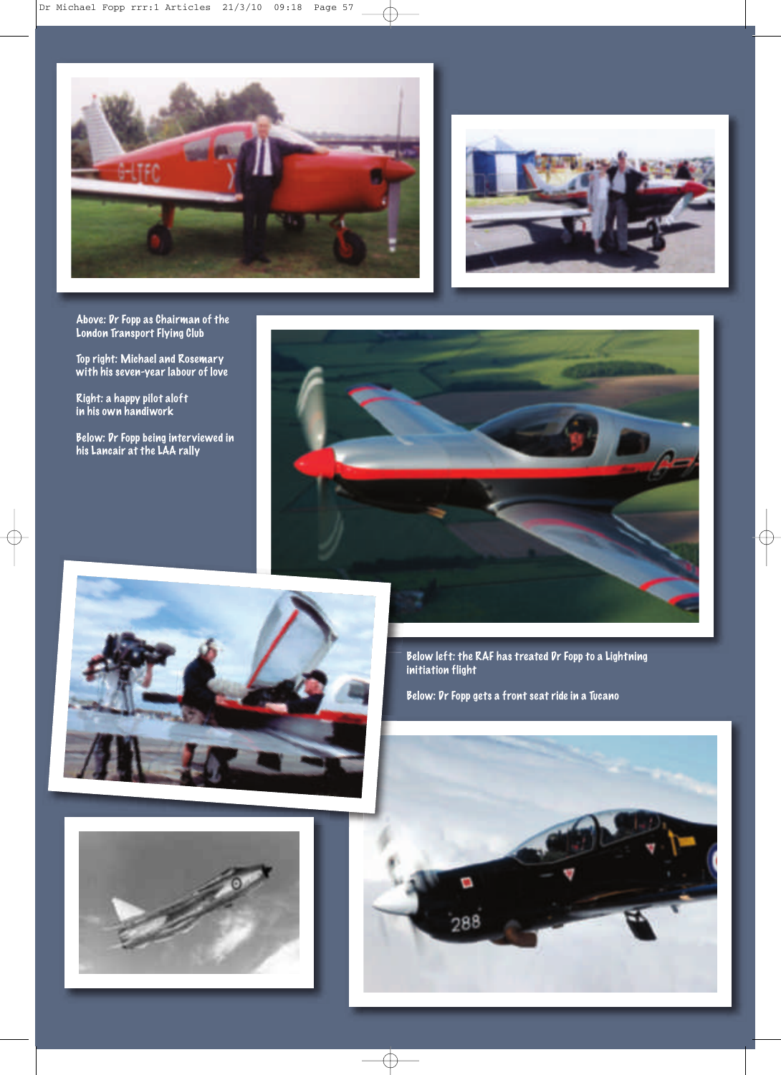



Above: Dr Fopp as Chairman of the London Transport Flying Club

Top right: Michael and Rosemary with his seven-year labour of love

Right: a happy pilot aloft in his own handiwork

Below: Dr Fopp being interviewed in his Lancair at the LAA rally





Below left: the RAF has treated Dr Fopp to a Lightning initiation flight

Below: Dr Fopp gets a front seat ride in a Tucano